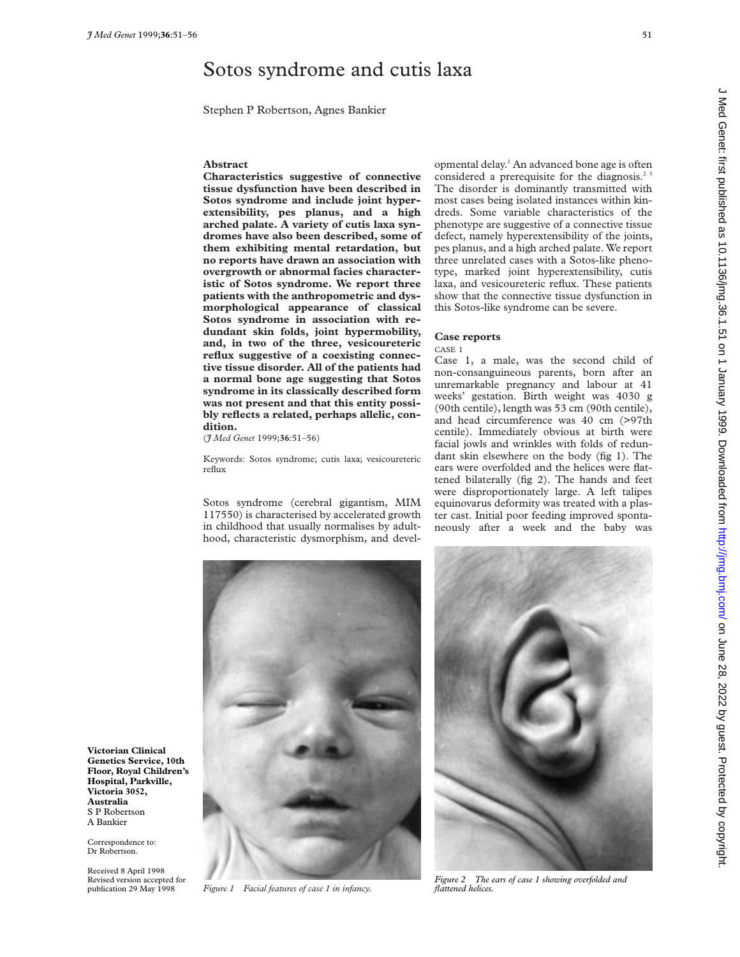# Sotos syndrome and cutis laxa

Stephen P Robertson, Agnes Bankier

#### **Abstract**

**Characteristics suggestive of connective tissue dysfunction have been described in Sotos syndrome and include joint hyperextensibility, pes planus, and a high arched palate. A variety of cutis laxa syndromes have also been described, some of them exhibiting mental retardation, but no reports have drawn an association with overgrowth or abnormal facies characteristic of Sotos syndrome. We report three patients with the anthropometric and dysmorphological appearance of classical Sotos syndrome in association with redundant skin folds, joint hypermobility, and, in two of the three, vesicoureteric reflux suggestive of a coexisting connective tissue disorder. All of the patients had a normal bone age suggesting that Sotos syndrome in its classically described form was not present and that this entity possibly reflects a related, perhaps allelic, condition.**

(*J Med Genet* 1999;**36**:51–56)

Keywords: Sotos syndrome; cutis laxa; vesicoureteric reflux

Sotos syndrome (cerebral gigantism, MIM 117550) is characterised by accelerated growth in childhood that usually normalises by adulthood, characteristic dysmorphism, and developmental delay.<sup>1</sup> An advanced bone age is often considered a prerequisite for the diagnosis.<sup>23</sup> The disorder is dominantly transmitted with most cases being isolated instances within kindreds. Some variable characteristics of the phenotype are suggestive of a connective tissue defect, namely hyperextensibility of the joints, pes planus, and a high arched palate. We report three unrelated cases with a Sotos-like phenotype, marked joint hyperextensibility, cutis laxa, and vesicoureteric reflux. These patients show that the connective tissue dysfunction in this Sotos-like syndrome can be severe.

# **Case reports**

CASE 1

Case 1, a male, was the second child of non-consanguineous parents, born after an unremarkable pregnancy and labour at 41 weeks' gestation. Birth weight was 4030 g (90th centile), length was 53 cm (90th centile), and head circumference was 40 cm (>97th centile). Immediately obvious at birth were facial jowls and wrinkles with folds of redundant skin elsewhere on the body (fig 1). The ears were overfolded and the helices were flattened bilaterally (fig 2). The hands and feet were disproportionately large. A left talipes equinovarus deformity was treated with a plaster cast. Initial poor feeding improved spontaneously after a week and the baby was



*Figure 1 Facial features of case 1 in infancy.*



*Figure 2 The ears of case 1 showing overfolded and flattened helices.*

**Victorian Clinical Genetics Service, 10th Floor, Royal Children's Hospital, Parkville, Victoria 3052, Australia** S P Robertson A Bankier

Correspondence to: Dr Robertson.

Received 8 April 1998 Revised version accepted for publication 29 May 1998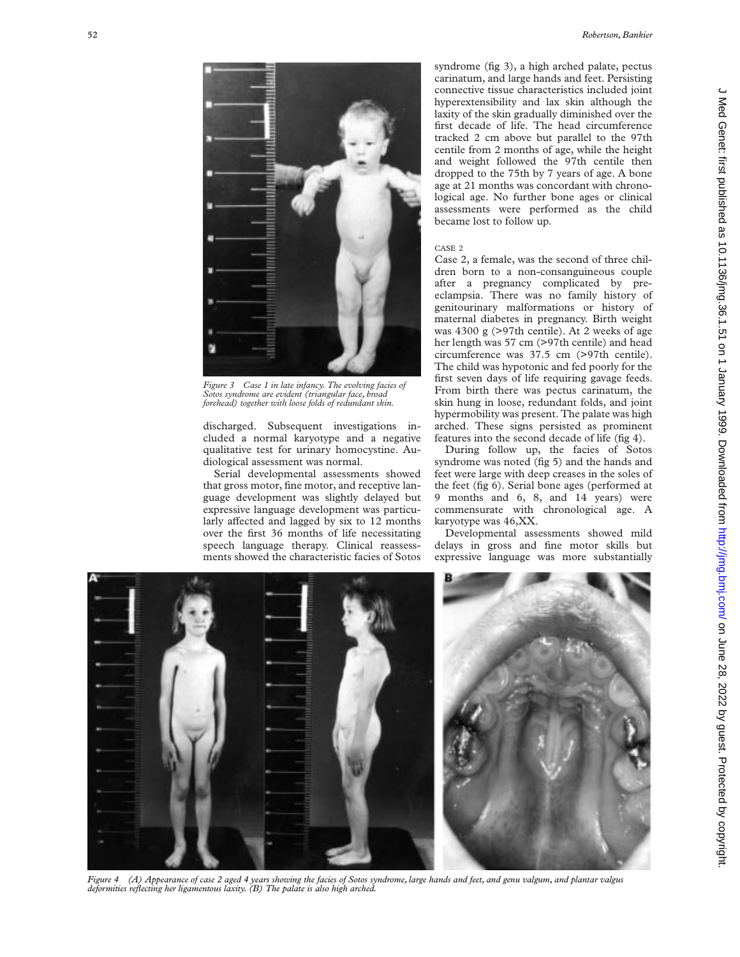

*Figure 3 Case 1 in late infancy. The evolving facies of Sotos syndrome are evident (triangular face, broad forehead) together with loose folds of redundant skin.*

discharged. Subsequent investigations included a normal karyotype and a negative qualitative test for urinary homocystine. Audiological assessment was normal.

Serial developmental assessments showed that gross motor, fine motor, and receptive language development was slightly delayed but expressive language development was particularly affected and lagged by six to 12 months over the first 36 months of life necessitating speech language therapy. Clinical reassessments showed the characteristic facies of Sotos

syndrome (fig 3), a high arched palate, pectus carinatum, and large hands and feet. Persisting connective tissue characteristics included joint hyperextensibility and lax skin although the laxity of the skin gradually diminished over the first decade of life. The head circumference tracked 2 cm above but parallel to the 97th centile from 2 months of age, while the height and weight followed the 97th centile then dropped to the 75th by 7 years of age. A bone age at 21 months was concordant with chronological age. No further bone ages or clinical assessments were performed as the child became lost to follow up.

## CASE 2

Case 2, a female, was the second of three children born to a non-consanguineous couple after a pregnancy complicated by preeclampsia. There was no family history of genitourinary malformations or history of maternal diabetes in pregnancy. Birth weight was 4300 g (>97th centile). At 2 weeks of age her length was 57 cm (>97th centile) and head circumference was 37.5 cm (>97th centile). The child was hypotonic and fed poorly for the first seven days of life requiring gavage feeds. From birth there was pectus carinatum, the skin hung in loose, redundant folds, and joint hypermobility was present. The palate was high arched. These signs persisted as prominent features into the second decade of life (fig 4).

During follow up, the facies of Sotos syndrome was noted (fig 5) and the hands and feet were large with deep creases in the soles of the feet (fig 6). Serial bone ages (performed at 9 months and 6, 8, and 14 years) were commensurate with chronological age. A karyotype was 46,XX.

Developmental assessments showed mild delays in gross and fine motor skills but expressive language was more substantially



*Figure 4 (A) Appearance of case 2 aged 4 years showing the facies of Sotos syndrome, large hands and feet, and genu valgum, and plantar valgus deformities reflecting her ligamentous laxity. (B) The palate is also high arched.*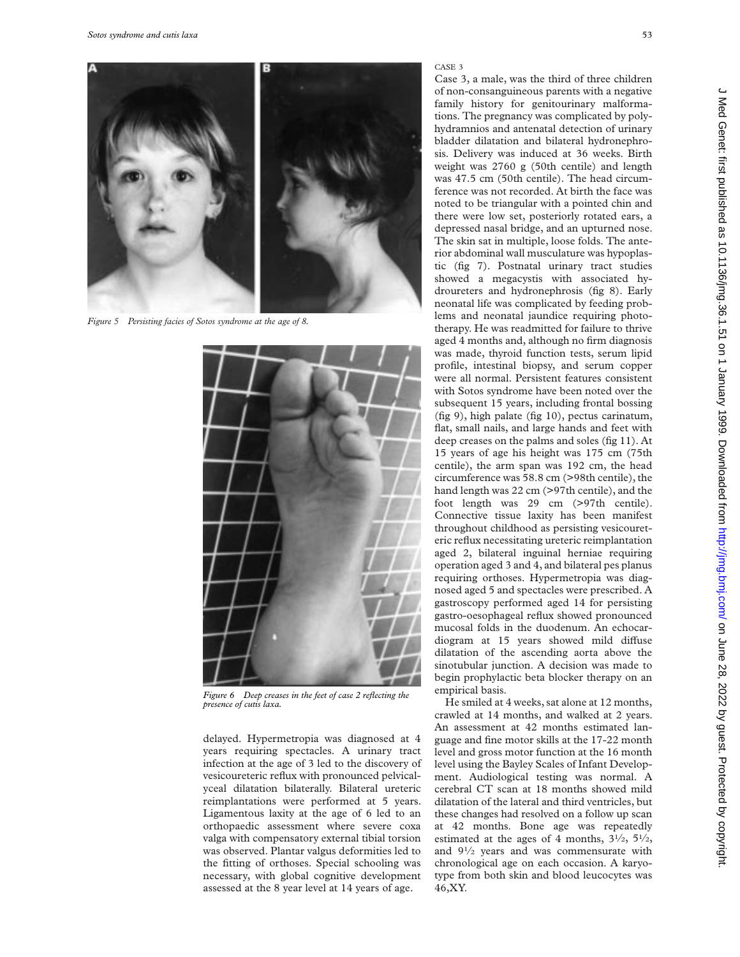

*Figure 5 Persisting facies of Sotos syndrome at the age of 8.*



*Figure 6 Deep creases in the feet of case 2 reflecting the presence of cutis laxa.*

delayed. Hypermetropia was diagnosed at 4 years requiring spectacles. A urinary tract infection at the age of 3 led to the discovery of vesicoureteric reflux with pronounced pelvicalyceal dilatation bilaterally. Bilateral ureteric reimplantations were performed at 5 years. Ligamentous laxity at the age of 6 led to an orthopaedic assessment where severe coxa valga with compensatory external tibial torsion was observed. Plantar valgus deformities led to the fitting of orthoses. Special schooling was necessary, with global cognitive development assessed at the 8 year level at 14 years of age.

### CASE 3

Case 3, a male, was the third of three children of non-consanguineous parents with a negative family history for genitourinary malformations. The pregnancy was complicated by polyhydramnios and antenatal detection of urinary bladder dilatation and bilateral hydronephrosis. Delivery was induced at 36 weeks. Birth weight was 2760 g (50th centile) and length was 47.5 cm (50th centile). The head circumference was not recorded. At birth the face was noted to be triangular with a pointed chin and there were low set, posteriorly rotated ears, a depressed nasal bridge, and an upturned nose. The skin sat in multiple, loose folds. The anterior abdominal wall musculature was hypoplastic (fig 7). Postnatal urinary tract studies showed a megacystis with associated hydroureters and hydronephrosis (fig 8). Early neonatal life was complicated by feeding problems and neonatal jaundice requiring phototherapy. He was readmitted for failure to thrive aged 4 months and, although no firm diagnosis was made, thyroid function tests, serum lipid profile, intestinal biopsy, and serum copper were all normal. Persistent features consistent with Sotos syndrome have been noted over the subsequent 15 years, including frontal bossing (fig 9), high palate (fig 10), pectus carinatum, flat, small nails, and large hands and feet with deep creases on the palms and soles (fig 11). At 15 years of age his height was 175 cm (75th centile), the arm span was 192 cm, the head circumference was 58.8 cm (>98th centile), the hand length was 22 cm (>97th centile), and the foot length was 29 cm (>97th centile). Connective tissue laxity has been manifest throughout childhood as persisting vesicoureteric reflux necessitating ureteric reimplantation aged 2, bilateral inguinal herniae requiring operation aged 3 and 4, and bilateral pes planus requiring orthoses. Hypermetropia was diagnosed aged 5 and spectacles were prescribed. A gastroscopy performed aged 14 for persisting gastro-oesophageal reflux showed pronounced mucosal folds in the duodenum. An echocardiogram at 15 years showed mild diffuse dilatation of the ascending aorta above the sinotubular junction. A decision was made to begin prophylactic beta blocker therapy on an empirical basis.

He smiled at 4 weeks, sat alone at 12 months, crawled at 14 months, and walked at 2 years. An assessment at 42 months estimated language and fine motor skills at the 17-22 month level and gross motor function at the 16 month level using the Bayley Scales of Infant Development. Audiological testing was normal. A cerebral CT scan at 18 months showed mild dilatation of the lateral and third ventricles, but these changes had resolved on a follow up scan at 42 months. Bone age was repeatedly estimated at the ages of 4 months,  $3\frac{1}{2}$ ,  $5\frac{1}{2}$ , and 91⁄2 years and was commensurate with chronological age on each occasion. A karyotype from both skin and blood leucocytes was 46,XY.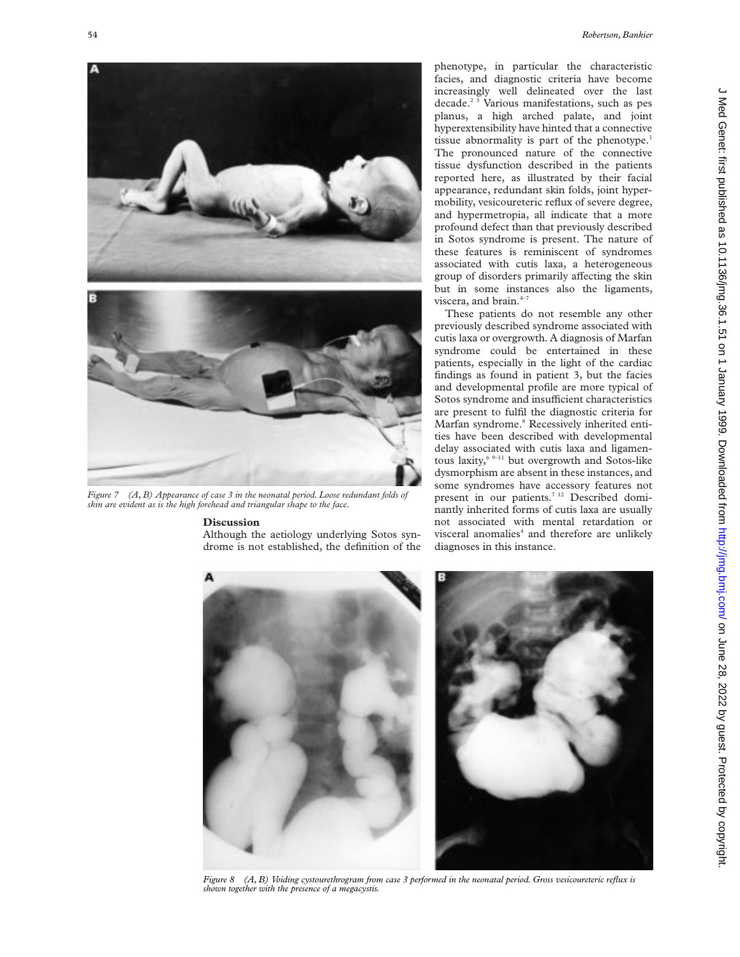

*Figure 7 (A, B) Appearance of case 3 in the neonatal period. Loose redundant folds of skin are evident as is the high forehead and triangular shape to the face.*

# **Discussion**

Although the aetiology underlying Sotos syndrome is not established, the definition of the phenotype, in particular the characteristic facies, and diagnostic criteria have become increasingly well delineated over the last decade.<sup>2 3</sup> Various manifestations, such as pes planus, a high arched palate, and joint hyperextensibility have hinted that a connective tissue abnormality is part of the phenotype.<sup>1</sup> The pronounced nature of the connective tissue dysfunction described in the patients reported here, as illustrated by their facial appearance, redundant skin folds, joint hypermobility, vesicoureteric reflux of severe degree, and hypermetropia, all indicate that a more profound defect than that previously described in Sotos syndrome is present. The nature of these features is reminiscent of syndromes associated with cutis laxa, a heterogeneous group of disorders primarily affecting the skin but in some instances also the ligaments, viscera, and brain. $4-7$ 

These patients do not resemble any other previously described syndrome associated with cutis laxa or overgrowth. A diagnosis of Marfan syndrome could be entertained in these patients, especially in the light of the cardiac findings as found in patient 3, but the facies and developmental profile are more typical of Sotos syndrome and insufficient characteristics are present to fulfil the diagnostic criteria for Marfan syndrome.<sup>8</sup> Recessively inherited entities have been described with developmental delay associated with cutis laxa and ligamentous laxity, $6^{9-11}$  but overgrowth and Sotos-like dysmorphism are absent in these instances, and some syndromes have accessory features not present in our patients.<sup>7 12</sup> Described dominantly inherited forms of cutis laxa are usually not associated with mental retardation or visceral anomalies<sup>4</sup> and therefore are unlikely diagnoses in this instance.



*Figure 8 (A, B) Voiding cystourethrogram from case 3 performed in the neonatal period. Gross vesicoureteric reflux is shown together with the presence of a megacystis.*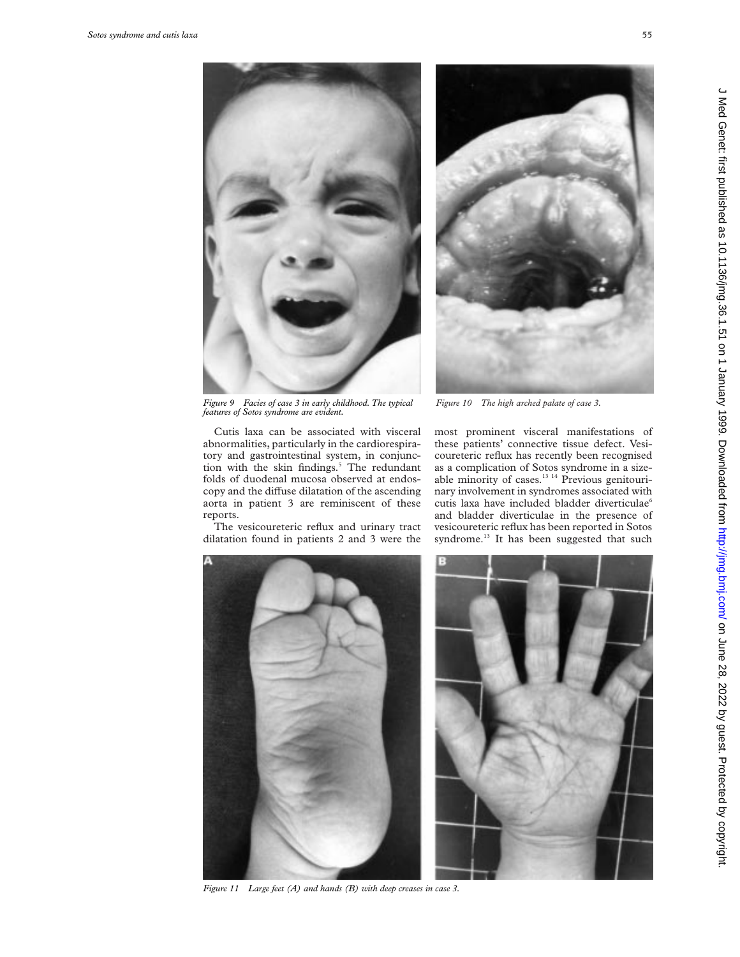

*features of Sotos syndrome are evident.*

Cutis laxa can be associated with visceral abnormalities, particularly in the cardiorespiratory and gastrointestinal system, in conjunction with the skin findings.<sup>5</sup> The redundant folds of duodenal mucosa observed at endoscopy and the diffuse dilatation of the ascending aorta in patient 3 are reminiscent of these reports.

The vesicoureteric reflux and urinary tract dilatation found in patients 2 and 3 were the

most prominent visceral manifestations of these patients' connective tissue defect. Vesicoureteric reflux has recently been recognised as a complication of Sotos syndrome in a sizeable minority of cases.<sup>13 14</sup> Previous genitourinary involvement in syndromes associated with cutis laxa have included bladder diverticulae6 and bladder diverticulae in the presence of vesicoureteric reflux has been reported in Sotos syndrome.<sup>13</sup> It has been suggested that such



*Figure 11 Large feet (A) and hands (B) with deep creases in case 3.*